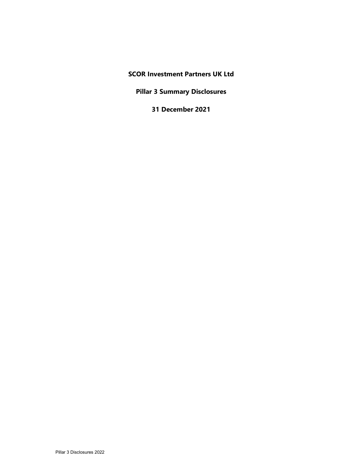# SCOR Investment Partners UK Ltd

Pillar 3 Summary Disclosures

31 December 2021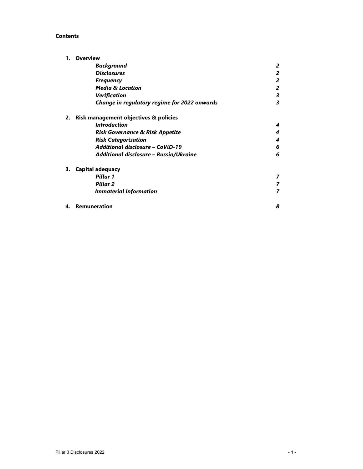### Contents

|    | <b>Overview</b>                              |                |
|----|----------------------------------------------|----------------|
|    | <b>Background</b>                            | 2              |
|    | <b>Disclosures</b>                           | 2              |
|    | <b>Frequency</b>                             | 2              |
|    | <b>Media &amp; Location</b>                  | 2              |
|    | <b>Verification</b>                          | 3              |
|    | Change in regulatory regime for 2022 onwards | 3              |
| 2. | Risk management objectives & policies        |                |
|    | <i><u><b>Introduction</b></u></i>            | 4              |
|    | <b>Risk Governance &amp; Risk Appetite</b>   | 4              |
|    | <b>Risk Categorisation</b>                   | 4              |
|    | Additional disclosure - CoViD-19             | 6              |
|    | Additional disclosure - Russia/Ukraine       | 6              |
| З. | <b>Capital adequacy</b>                      |                |
|    | Pillar 1                                     | 7              |
|    | Pillar <sub>2</sub>                          | 7              |
|    | <b>Immaterial Information</b>                | $\overline{ }$ |
| 4. | <b>Remuneration</b>                          | 8              |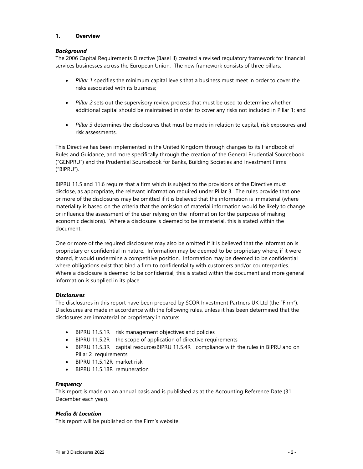### 1. Overview

#### **Background**

The 2006 Capital Requirements Directive (Basel II) created a revised regulatory framework for financial services businesses across the European Union. The new framework consists of three pillars:

- Pillar 1 specifies the minimum capital levels that a business must meet in order to cover the risks associated with its business;
- Pillar 2 sets out the supervisory review process that must be used to determine whether additional capital should be maintained in order to cover any risks not included in Pillar 1; and
- Pillar 3 determines the disclosures that must be made in relation to capital, risk exposures and risk assessments.

This Directive has been implemented in the United Kingdom through changes to its Handbook of Rules and Guidance, and more specifically through the creation of the General Prudential Sourcebook ("GENPRU") and the Prudential Sourcebook for Banks, Building Societies and Investment Firms ("BIPRU").

BIPRU 11.5 and 11.6 require that a firm which is subject to the provisions of the Directive must disclose, as appropriate, the relevant information required under Pillar 3. The rules provide that one or more of the disclosures may be omitted if it is believed that the information is immaterial (where materiality is based on the criteria that the omission of material information would be likely to change or influence the assessment of the user relying on the information for the purposes of making economic decisions). Where a disclosure is deemed to be immaterial, this is stated within the document.

One or more of the required disclosures may also be omitted if it is believed that the information is proprietary or confidential in nature. Information may be deemed to be proprietary where, if it were shared, it would undermine a competitive position. Information may be deemed to be confidential where obligations exist that bind a firm to confidentiality with customers and/or counterparties. Where a disclosure is deemed to be confidential, this is stated within the document and more general information is supplied in its place.

### **Disclosures**

The disclosures in this report have been prepared by SCOR Investment Partners UK Ltd (the "Firm"). Disclosures are made in accordance with the following rules, unless it has been determined that the disclosures are immaterial or proprietary in nature:

- BIPRU 11.5.1R risk management objectives and policies
- BIPRU 11.5.2R the scope of application of directive requirements
- BIPRU 11.5.3R capital resourcesBIPRU 11.5.4R compliance with the rules in BIPRU and on Pillar 2 requirements
- BIPRU 11.5.12R market risk
- BIPRU 11.5.18R remuneration

#### **Frequency**

This report is made on an annual basis and is published as at the Accounting Reference Date (31 December each year).

#### Media & Location

This report will be published on the Firm's website.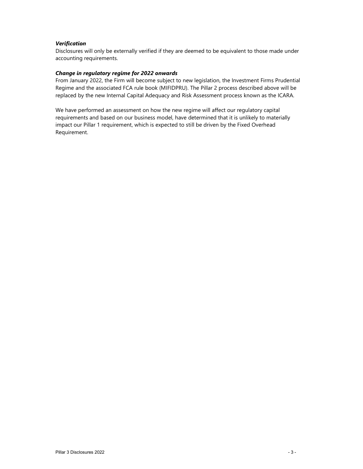# Verification

Disclosures will only be externally verified if they are deemed to be equivalent to those made under accounting requirements.

### Change in regulatory regime for 2022 onwards

From January 2022, the Firm will become subject to new legislation, the Investment Firms Prudential Regime and the associated FCA rule book (MIFIDPRU). The Pillar 2 process described above will be replaced by the new Internal Capital Adequacy and Risk Assessment process known as the ICARA.

We have performed an assessment on how the new regime will affect our regulatory capital requirements and based on our business model, have determined that it is unlikely to materially impact our Pillar 1 requirement, which is expected to still be driven by the Fixed Overhead Requirement.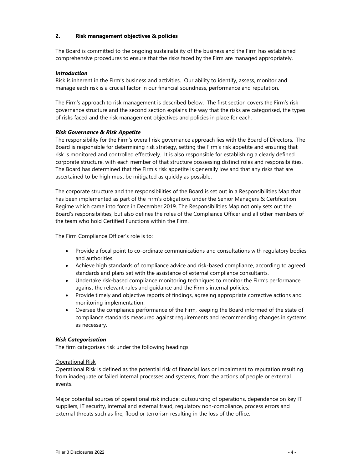### 2. Risk management objectives & policies

The Board is committed to the ongoing sustainability of the business and the Firm has established comprehensive procedures to ensure that the risks faced by the Firm are managed appropriately.

### Introduction

Risk is inherent in the Firm's business and activities. Our ability to identify, assess, monitor and manage each risk is a crucial factor in our financial soundness, performance and reputation.

The Firm's approach to risk management is described below. The first section covers the Firm's risk governance structure and the second section explains the way that the risks are categorised, the types of risks faced and the risk management objectives and policies in place for each.

### Risk Governance & Risk Appetite

The responsibility for the Firm's overall risk governance approach lies with the Board of Directors. The Board is responsible for determining risk strategy, setting the Firm's risk appetite and ensuring that risk is monitored and controlled effectively. It is also responsible for establishing a clearly defined corporate structure, with each member of that structure possessing distinct roles and responsibilities. The Board has determined that the Firm's risk appetite is generally low and that any risks that are ascertained to be high must be mitigated as quickly as possible.

The corporate structure and the responsibilities of the Board is set out in a Responsibilities Map that has been implemented as part of the Firm's obligations under the Senior Managers & Certification Regime which came into force in December 2019. The Responsibilities Map not only sets out the Board's responsibilities, but also defines the roles of the Compliance Officer and all other members of the team who hold Certified Functions within the Firm.

The Firm Compliance Officer's role is to:

- Provide a focal point to co-ordinate communications and consultations with regulatory bodies and authorities.
- Achieve high standards of compliance advice and risk-based compliance, according to agreed standards and plans set with the assistance of external compliance consultants.
- Undertake risk-based compliance monitoring techniques to monitor the Firm's performance against the relevant rules and guidance and the Firm's internal policies.
- Provide timely and objective reports of findings, agreeing appropriate corrective actions and monitoring implementation.
- Oversee the compliance performance of the Firm, keeping the Board informed of the state of compliance standards measured against requirements and recommending changes in systems as necessary.

### Risk Categorisation

The firm categorises risk under the following headings:

#### Operational Risk

Operational Risk is defined as the potential risk of financial loss or impairment to reputation resulting from inadequate or failed internal processes and systems, from the actions of people or external events.

Major potential sources of operational risk include: outsourcing of operations, dependence on key IT suppliers, IT security, internal and external fraud, regulatory non-compliance, process errors and external threats such as fire, flood or terrorism resulting in the loss of the office.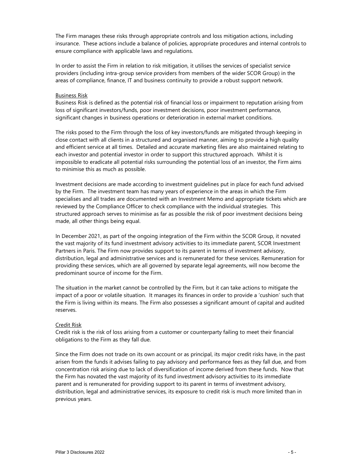The Firm manages these risks through appropriate controls and loss mitigation actions, including insurance. These actions include a balance of policies, appropriate procedures and internal controls to ensure compliance with applicable laws and regulations.

In order to assist the Firm in relation to risk mitigation, it utilises the services of specialist service providers (including intra-group service providers from members of the wider SCOR Group) in the areas of compliance, finance, IT and business continuity to provide a robust support network.

#### Business Risk

Business Risk is defined as the potential risk of financial loss or impairment to reputation arising from loss of significant investors/funds, poor investment decisions, poor investment performance, significant changes in business operations or deterioration in external market conditions.

The risks posed to the Firm through the loss of key investors/funds are mitigated through keeping in close contact with all clients in a structured and organised manner, aiming to provide a high quality and efficient service at all times. Detailed and accurate marketing files are also maintained relating to each investor and potential investor in order to support this structured approach. Whilst it is impossible to eradicate all potential risks surrounding the potential loss of an investor, the Firm aims to minimise this as much as possible.

Investment decisions are made according to investment guidelines put in place for each fund advised by the Firm. The investment team has many years of experience in the areas in which the Firm specialises and all trades are documented with an Investment Memo and appropriate tickets which are reviewed by the Compliance Officer to check compliance with the individual strategies. This structured approach serves to minimise as far as possible the risk of poor investment decisions being made, all other things being equal.

In December 2021, as part of the ongoing integration of the Firm within the SCOR Group, it novated the vast majority of its fund investment advisory activities to its immediate parent, SCOR Investment Partners in Paris. The Firm now provides support to its parent in terms of investment advisory, distribution, legal and administrative services and is remunerated for these services. Remuneration for providing these services, which are all governed by separate legal agreements, will now become the predominant source of income for the Firm.

The situation in the market cannot be controlled by the Firm, but it can take actions to mitigate the impact of a poor or volatile situation. It manages its finances in order to provide a 'cushion' such that the Firm is living within its means. The Firm also possesses a significant amount of capital and audited reserves.

#### Credit Risk

Credit risk is the risk of loss arising from a customer or counterparty failing to meet their financial obligations to the Firm as they fall due.

Since the Firm does not trade on its own account or as principal, its major credit risks have, in the past arisen from the funds it advises failing to pay advisory and performance fees as they fall due, and from concentration risk arising due to lack of diversification of income derived from these funds. Now that the Firm has novated the vast majority of its fund investment advisory activities to its immediate parent and is remunerated for providing support to its parent in terms of investment advisory, distribution, legal and administrative services, its exposure to credit risk is much more limited than in previous years.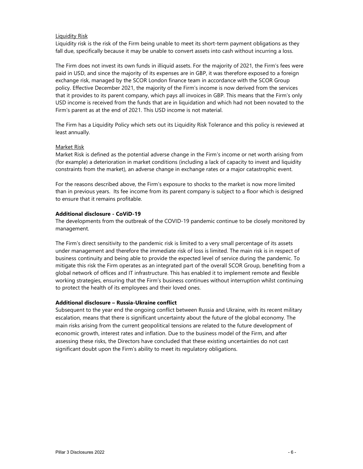# Liquidity Risk

Liquidity risk is the risk of the Firm being unable to meet its short-term payment obligations as they fall due, specifically because it may be unable to convert assets into cash without incurring a loss.

The Firm does not invest its own funds in illiquid assets. For the majority of 2021, the Firm's fees were paid in USD, and since the majority of its expenses are in GBP, it was therefore exposed to a foreign exchange risk, managed by the SCOR London finance team in accordance with the SCOR Group policy. Effective December 2021, the majority of the Firm's income is now derived from the services that it provides to its parent company, which pays all invoices in GBP. This means that the Firm's only USD income is received from the funds that are in liquidation and which had not been novated to the Firm's parent as at the end of 2021. This USD income is not material.

The Firm has a Liquidity Policy which sets out its Liquidity Risk Tolerance and this policy is reviewed at least annually.

#### Market Risk

Market Risk is defined as the potential adverse change in the Firm's income or net worth arising from (for example) a deterioration in market conditions (including a lack of capacity to invest and liquidity constraints from the market), an adverse change in exchange rates or a major catastrophic event.

For the reasons described above, the Firm's exposure to shocks to the market is now more limited than in previous years. Its fee income from its parent company is subject to a floor which is designed to ensure that it remains profitable.

#### Additional disclosure - CoViD-19

The developments from the outbreak of the COVID-19 pandemic continue to be closely monitored by management.

The Firm's direct sensitivity to the pandemic risk is limited to a very small percentage of its assets under management and therefore the immediate risk of loss is limited. The main risk is in respect of business continuity and being able to provide the expected level of service during the pandemic. To mitigate this risk the Firm operates as an integrated part of the overall SCOR Group, benefiting from a global network of offices and IT infrastructure. This has enabled it to implement remote and flexible working strategies, ensuring that the Firm's business continues without interruption whilst continuing to protect the health of its employees and their loved ones.

### Additional disclosure – Russia-Ukraine conflict

Subsequent to the year end the ongoing conflict between Russia and Ukraine, with its recent military escalation, means that there is significant uncertainty about the future of the global economy. The main risks arising from the current geopolitical tensions are related to the future development of economic growth, interest rates and inflation. Due to the business model of the Firm, and after assessing these risks, the Directors have concluded that these existing uncertainties do not cast significant doubt upon the Firm's ability to meet its regulatory obligations.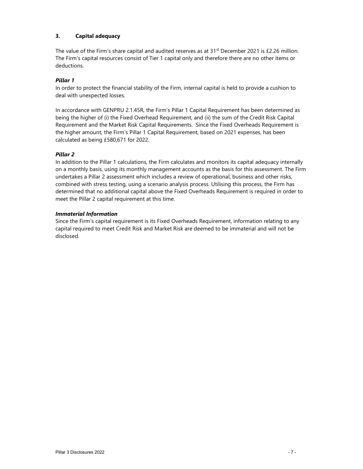# 3. Capital adequacy

The value of the Firm's share capital and audited reserves as at  $31<sup>st</sup>$  December 2021 is £2.26 million. The Firm's capital resources consist of Tier 1 capital only and therefore there are no other items or deductions.

### Pillar 1

In order to protect the financial stability of the Firm, internal capital is held to provide a cushion to deal with unexpected losses.

In accordance with GENPRU 2.1.45R, the Firm's Pillar 1 Capital Requirement has been determined as being the higher of (i) the Fixed Overhead Requirement, and (ii) the sum of the Credit Risk Capital Requirement and the Market Risk Capital Requirements. Since the Fixed Overheads Requirement is the higher amount, the Firm's Pillar 1 Capital Requirement, based on 2021 expenses, has been calculated as being £580,671 for 2022.

# Pillar 2

In addition to the Pillar 1 calculations, the Firm calculates and monitors its capital adequacy internally on a monthly basis, using its monthly management accounts as the basis for this assessment. The Firm undertakes a Pillar 2 assessment which includes a review of operational, business and other risks, combined with stress testing, using a scenario analysis process. Utilising this process, the Firm has determined that no additional capital above the Fixed Overheads Requirement is required in order to meet the Pillar 2 capital requirement at this time.

### Immaterial Information

Since the Firm's capital requirement is its Fixed Overheads Requirement, information relating to any capital required to meet Credit Risk and Market Risk are deemed to be immaterial and will not be disclosed.